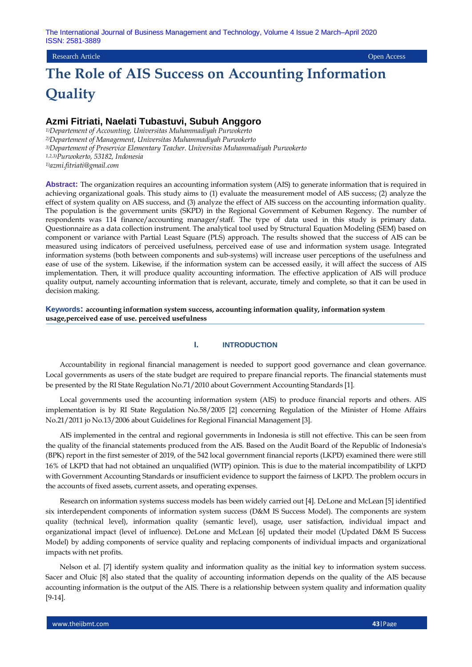## Research Article Open Access

# **The Role of AIS Success on Accounting Information Quality**

## **Azmi Fitriati, Naelati Tubastuvi, Subuh Anggoro**

*1)Departement of Accounting, Universitas Muhammadiyah Purwokerto 2)Departement of Management, Universitas Muhammadiyah Purwokerto 3)Departement of Preservice Elementary Teacher. Universitas Muhammadiyah Purwokerto 1,2,3)Purwokerto, 53182, Indonesia 1)azmi.fitriati@gmail.com*

**Abstract:** The organization requires an accounting information system (AIS) to generate information that is required in achieving organizational goals. This study aims to (1) evaluate the measurement model of AIS success; (2) analyze the effect of system quality on AIS success, and (3) analyze the effect of AIS success on the accounting information quality. The population is the government units (SKPD) in the Regional Government of Kebumen Regency. The number of respondents was 114 finance/accounting manager/staff. The type of data used in this study is primary data. Questionnaire as a data collection instrument. The analytical tool used by Structural Equation Modeling (SEM) based on component or variance with Partial Least Square (PLS) approach. The results showed that the success of AIS can be measured using indicators of perceived usefulness, perceived ease of use and information system usage. Integrated information systems (both between components and sub-systems) will increase user perceptions of the usefulness and ease of use of the system. Likewise, if the information system can be accessed easily, it will affect the success of AIS implementation. Then, it will produce quality accounting information. The effective application of AIS will produce quality output, namely accounting information that is relevant, accurate, timely and complete, so that it can be used in decision making.

**Keywords: accounting information system success, accounting information quality, information system usage,perceived ease of use. perceived usefulness** 

#### **I. INTRODUCTION**

Accountability in regional financial management is needed to support good governance and clean governance. Local governments as users of the state budget are required to prepare financial reports. The financial statements must be presented by the RI State Regulation No.71/2010 about Government Accounting Standards [1].

Local governments used the accounting information system (AIS) to produce financial reports and others. AIS implementation is by RI State Regulation No.58/2005 [2] concerning Regulation of the Minister of Home Affairs No.21/2011 jo No.13/2006 about Guidelines for Regional Financial Management [3].

AIS implemented in the central and regional governments in Indonesia is still not effective. This can be seen from the quality of the financial statements produced from the AIS. Based on the Audit Board of the Republic of Indonesia's (BPK) report in the first semester of 2019, of the 542 local government financial reports (LKPD) examined there were still 16% of LKPD that had not obtained an unqualified (WTP) opinion. This is due to the material incompatibility of LKPD with Government Accounting Standards or insufficient evidence to support the fairness of LKPD. The problem occurs in the accounts of fixed assets, current assets, and operating expenses.

Research on information systems success models has been widely carried out [4]. DeLone and McLean [5] identified six interdependent components of information system success (D&M IS Success Model). The components are system quality (technical level), information quality (semantic level), usage, user satisfaction, individual impact and organizational impact (level of influence). DeLone and McLean [6] updated their model (Updated D&M IS Success Model) by adding components of service quality and replacing components of individual impacts and organizational impacts with net profits.

Nelson et al. [7] identify system quality and information quality as the initial key to information system success. Sacer and Oluic [8] also stated that the quality of accounting information depends on the quality of the AIS because accounting information is the output of the AIS. There is a relationship between system quality and information quality [9-14].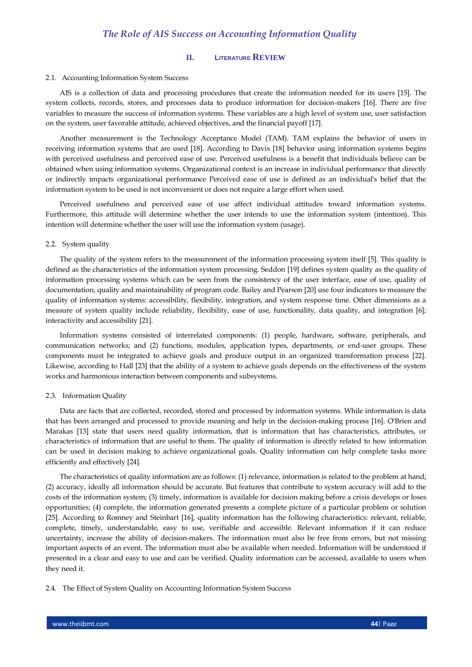## **II. LITERATURE REVIEW**

#### 2.1. Accounting Information System Success

AIS is a collection of data and processing procedures that create the information needed for its users [15]. The system collects, records, stores, and processes data to produce information for decision-makers [16]. There are five variables to measure the success of information systems. These variables are a high level of system use, user satisfaction on the system, user favorable attitude, achieved objectives, and the financial payoff [17].

Another measurement is the Technology Acceptance Model (TAM). TAM explains the behavior of users in receiving information systems that are used [18]. According to Davis [18] behavior using information systems begins with perceived usefulness and perceived ease of use. Perceived usefulness is a benefit that individuals believe can be obtained when using information systems. Organizational context is an increase in individual performance that directly or indirectly impacts organizational performance Perceived ease of use is defined as an individual's belief that the information system to be used is not inconvenient or does not require a large effort when used.

Perceived usefulness and perceived ease of use affect individual attitudes toward information systems. Furthermore, this attitude will determine whether the user intends to use the information system (intention). This intention will determine whether the user will use the information system (usage).

#### 2.2. System quality

The quality of the system refers to the measurement of the information processing system itself [5]. This quality is defined as the characteristics of the information system processing. Seddon [19] defines system quality as the quality of information processing systems which can be seen from the consistency of the user interface, ease of use, quality of documentation, quality and maintainability of program code. Bailey and Pearson [20] use four indicators to measure the quality of information systems: accessibility, flexibility, integration, and system response time. Other dimensions as a measure of system quality include reliability, flexibility, ease of use, functionality, data quality, and integration [6]; interactivity and accessibility [21].

Information systems consisted of interrelated components: (1) people, hardware, software, peripherals, and communication networks; and (2) functions, modules, application types, departments, or end-user groups. These components must be integrated to achieve goals and produce output in an organized transformation process [22]. Likewise, according to Hall [23] that the ability of a system to achieve goals depends on the effectiveness of the system works and harmonious interaction between components and subsystems.

#### 2.3. Information Quality

Data are facts that are collected, recorded, stored and processed by information systems. While information is data that has been arranged and processed to provide meaning and help in the decision-making process [16]. O'Brien and Marakas [13] state that users need quality information, that is information that has characteristics, attributes, or characteristics of information that are useful to them. The quality of information is directly related to how information can be used in decision making to achieve organizational goals. Quality information can help complete tasks more efficiently and effectively [24].

The characteristics of quality information are as follows: (1) relevance, information is related to the problem at hand; (2) accuracy, ideally all information should be accurate. But features that contribute to system accuracy will add to the costs of the information system; (3) timely, information is available for decision making before a crisis develops or loses opportunities; (4) complete, the information generated presents a complete picture of a particular problem or solution [25]. According to Romney and Steinbart [16], quality information has the following characteristics: relevant, reliable, complete, timely, understandable, easy to use, verifiable and accessible. Relevant information if it can reduce uncertainty, increase the ability of decision-makers. The information must also be free from errors, but not missing important aspects of an event. The information must also be available when needed. Information will be understood if presented in a clear and easy to use and can be verified. Quality information can be accessed, available to users when they need it.

2.4. The Effect of System Quality on Accounting Information System Success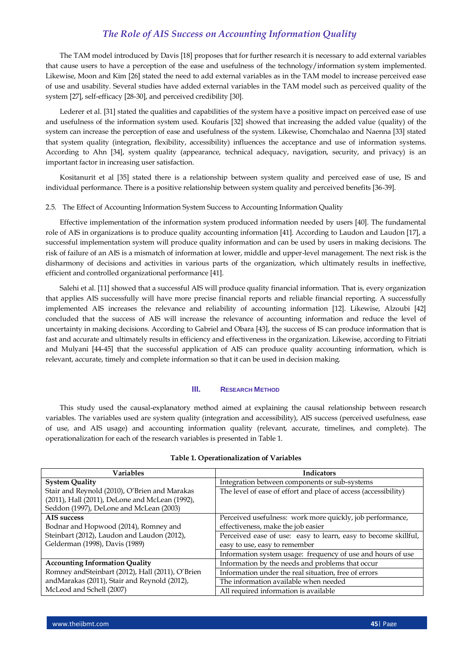The TAM model introduced by Davis [18] proposes that for further research it is necessary to add external variables that cause users to have a perception of the ease and usefulness of the technology/information system implemented. Likewise, Moon and Kim [26] stated the need to add external variables as in the TAM model to increase perceived ease of use and usability. Several studies have added external variables in the TAM model such as perceived quality of the system [27], self-efficacy [28-30], and perceived credibility [30].

Lederer et al. [31] stated the qualities and capabilities of the system have a positive impact on perceived ease of use and usefulness of the information system used. Koufaris [32] showed that increasing the added value (quality) of the system can increase the perception of ease and usefulness of the system. Likewise, Chomchalao and Naenna [33] stated that system quality (integration, flexibility, accessibility) influences the acceptance and use of information systems. According to Ahn [34], system quality (appearance, technical adequacy, navigation, security, and privacy) is an important factor in increasing user satisfaction.

Kositanurit et al [35] stated there is a relationship between system quality and perceived ease of use, IS and individual performance. There is a positive relationship between system quality and perceived benefits [36-39].

#### 2.5. The Effect of Accounting Information System Success to Accounting Information Quality

Effective implementation of the information system produced information needed by users [40]. The fundamental role of AIS in organizations is to produce quality accounting information [41]. According to Laudon and Laudon [17], a successful implementation system will produce quality information and can be used by users in making decisions. The risk of failure of an AIS is a mismatch of information at lower, middle and upper-level management. The next risk is the disharmony of decisions and activities in various parts of the organization, which ultimately results in ineffective, efficient and controlled organizational performance [41].

Salehi et al. [11] showed that a successful AIS will produce quality financial information. That is, every organization that applies AIS successfully will have more precise financial reports and reliable financial reporting. A successfully implemented AIS increases the relevance and reliability of accounting information [12]. Likewise, Alzoubi [42] concluded that the success of AIS will increase the relevance of accounting information and reduce the level of uncertainty in making decisions. According to Gabriel and Obara [43], the success of IS can produce information that is fast and accurate and ultimately results in efficiency and effectiveness in the organization. Likewise, according to Fitriati and Mulyani [44-45] that the successful application of AIS can produce quality accounting information, which is relevant, accurate, timely and complete information so that it can be used in decision making.

#### **III. RESEARCH METHOD**

This study used the causal-explanatory method aimed at explaining the causal relationship between research variables. The variables used are system quality (integration and accessibility), AIS success (perceived usefulness, ease of use, and AIS usage) and accounting information quality (relevant, accurate, timelines, and complete). The operationalization for each of the research variables is presented in Table 1.

| <b>Variables</b>                                  | <b>Indicators</b>                                               |  |
|---------------------------------------------------|-----------------------------------------------------------------|--|
| <b>System Quality</b>                             | Integration between components or sub-systems                   |  |
| Stair and Reynold (2010), O'Brien and Marakas     | The level of ease of effort and place of access (accessibility) |  |
| (2011), Hall (2011), DeLone and McLean (1992),    |                                                                 |  |
| Seddon (1997), DeLone and McLean (2003)           |                                                                 |  |
| AIS success                                       | Perceived usefulness: work more quickly, job performance,       |  |
| Bodnar and Hopwood (2014), Romney and             | effectiveness, make the job easier                              |  |
| Steinbart (2012), Laudon and Laudon (2012),       | Perceived ease of use: easy to learn, easy to become skillful,  |  |
| Gelderman (1998), Davis (1989)                    | easy to use, easy to remember                                   |  |
|                                                   | Information system usage: frequency of use and hours of use     |  |
| <b>Accounting Information Quality</b>             | Information by the needs and problems that occur                |  |
| Romney and Steinbart (2012), Hall (2011), O'Brien | Information under the real situation, free of errors            |  |
| andMarakas (2011), Stair and Reynold (2012),      | The information available when needed                           |  |
| McLeod and Schell (2007)                          | All required information is available                           |  |

#### **Table 1. Operationalization of Variables**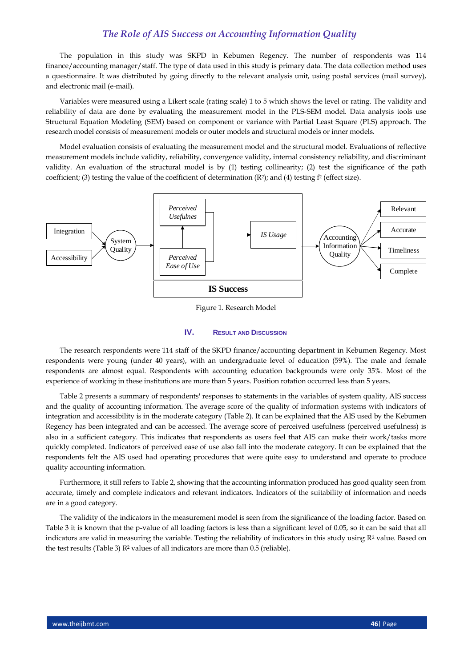The population in this study was SKPD in Kebumen Regency. The number of respondents was 114 finance/accounting manager/staff. The type of data used in this study is primary data. The data collection method uses a questionnaire. It was distributed by going directly to the relevant analysis unit, using postal services (mail survey), and electronic mail (e-mail).

Variables were measured using a Likert scale (rating scale) 1 to 5 which shows the level or rating. The validity and reliability of data are done by evaluating the measurement model in the PLS-SEM model. Data analysis tools use Structural Equation Modeling (SEM) based on component or variance with Partial Least Square (PLS) approach. The research model consists of measurement models or outer models and structural models or inner models.

Model evaluation consists of evaluating the measurement model and the structural model. Evaluations of reflective measurement models include validity, reliability, convergence validity, internal consistency reliability, and discriminant validity. An evaluation of the structural model is by (1) testing collinearity; (2) test the significance of the path coefficient; (3) testing the value of the coefficient of determination  $(R^2)$ ; and (4) testing  $f^2$  (effect size).



Figure 1. Research Model

#### **IV. RESULT AND DISCUSSION**

The research respondents were 114 staff of the SKPD finance/accounting department in Kebumen Regency. Most respondents were young (under 40 years), with an undergraduate level of education (59%). The male and female respondents are almost equal. Respondents with accounting education backgrounds were only 35%. Most of the experience of working in these institutions are more than 5 years. Position rotation occurred less than 5 years.

Table 2 presents a summary of respondents' responses to statements in the variables of system quality, AIS success and the quality of accounting information. The average score of the quality of information systems with indicators of integration and accessibility is in the moderate category (Table 2). It can be explained that the AIS used by the Kebumen Regency has been integrated and can be accessed. The average score of perceived usefulness (perceived usefulness) is also in a sufficient category. This indicates that respondents as users feel that AIS can make their work/tasks more quickly completed. Indicators of perceived ease of use also fall into the moderate category. It can be explained that the respondents felt the AIS used had operating procedures that were quite easy to understand and operate to produce quality accounting information.

Furthermore, it still refers to Table 2, showing that the accounting information produced has good quality seen from accurate, timely and complete indicators and relevant indicators. Indicators of the suitability of information and needs are in a good category.

The validity of the indicators in the measurement model is seen from the significance of the loading factor. Based on Table 3 it is known that the p-value of all loading factors is less than a significant level of 0.05, so it can be said that all indicators are valid in measuring the variable. Testing the reliability of indicators in this study using  $R<sup>2</sup>$  value. Based on the test results (Table 3) R<sup>2</sup> values of all indicators are more than 0.5 (reliable).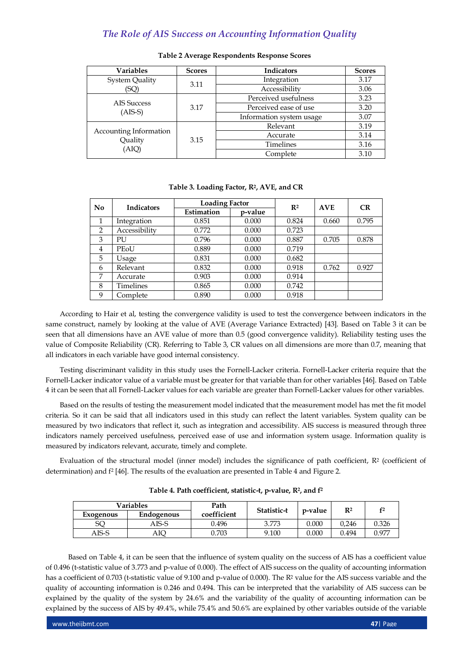| <b>Variables</b>                           | <b>Scores</b> | <b>Indicators</b>        | <b>Scores</b> |
|--------------------------------------------|---------------|--------------------------|---------------|
| <b>System Quality</b>                      | 3.11          | Integration              | 3.17          |
| (SQ)                                       |               | Accessibility            | 3.06          |
| <b>AIS Success</b><br>$(AIS-S)$            | 3.17          | Perceived usefulness     | 3.23          |
|                                            |               | Perceived ease of use    | 3.20          |
|                                            |               | Information system usage | 3.07          |
| Accounting Information<br>Quality<br>(AIQ) | 3.15          | Relevant                 | 3.19          |
|                                            |               | Accurate                 | 3.14          |
|                                            |               | <b>Timelines</b>         | 3.16          |
|                                            |               | Complete                 | 3.10          |

#### **Table 2 Average Respondents Response Scores**

#### **Table 3. Loading Factor, R2, AVE, and CR**

| $\bf No$       | <b>Indicators</b> | <b>Loading Factor</b> |         | R <sup>2</sup> | <b>AVE</b> | CR    |
|----------------|-------------------|-----------------------|---------|----------------|------------|-------|
|                |                   | Estimation            | p-value |                |            |       |
| 1              | Integration       | 0.851                 | 0.000   | 0.824          | 0.660      | 0.795 |
| $\overline{2}$ | Accessibility     | 0.772                 | 0.000   | 0.723          |            |       |
| 3              | PU                | 0.796                 | 0.000   | 0.887          | 0.705      | 0.878 |
| 4              | PEoU              | 0.889                 | 0.000   | 0.719          |            |       |
| 5              | Usage             | 0.831                 | 0.000   | 0.682          |            |       |
| 6              | Relevant          | 0.832                 | 0.000   | 0.918          | 0.762      | 0.927 |
| 7              | Accurate          | 0.903                 | 0.000   | 0.914          |            |       |
| 8              | <b>Timelines</b>  | 0.865                 | 0.000   | 0.742          |            |       |
| 9              | Complete          | 0.890                 | 0.000   | 0.918          |            |       |

According to Hair et al, testing the convergence validity is used to test the convergence between indicators in the same construct, namely by looking at the value of AVE (Average Variance Extracted) [43]. Based on Table 3 it can be seen that all dimensions have an AVE value of more than 0.5 (good convergence validity). Reliability testing uses the value of Composite Reliability (CR). Referring to Table 3, CR values on all dimensions are more than 0.7, meaning that all indicators in each variable have good internal consistency.

Testing discriminant validity in this study uses the Fornell-Lacker criteria. Fornell-Lacker criteria require that the Fornell-Lacker indicator value of a variable must be greater for that variable than for other variables [46]. Based on Table 4 it can be seen that all Fornell-Lacker values for each variable are greater than Fornell-Lacker values for other variables.

Based on the results of testing the measurement model indicated that the measurement model has met the fit model criteria. So it can be said that all indicators used in this study can reflect the latent variables. System quality can be measured by two indicators that reflect it, such as integration and accessibility. AIS success is measured through three indicators namely perceived usefulness, perceived ease of use and information system usage. Information quality is measured by indicators relevant, accurate, timely and complete.

Evaluation of the structural model (inner model) includes the significance of path coefficient, R<sup>2</sup> (coefficient of determination) and f<sup>2</sup> [46]. The results of the evaluation are presented in Table 4 and Figure 2.

| <b>Variables</b> |                   | Path        | Statistic-t |         | $\mathbf{R}^2$ |       |  |
|------------------|-------------------|-------------|-------------|---------|----------------|-------|--|
| Exogenous        | <b>Endogenous</b> | coefficient |             | p-value |                |       |  |
| SQ               | AIS-S             | 0.496       | 3.773       | 0.000   | 0.246          | 0.326 |  |
| AIS-S            | AIQ               | 0.703       | 9.100       | 0.000   | 0.494          | 0.977 |  |

**Table 4. Path coefficient, statistic-t, p-value, R2, and f 2**

Based on Table 4, it can be seen that the influence of system quality on the success of AIS has a coefficient value of 0.496 (t-statistic value of 3.773 and p-value of 0.000). The effect of AIS success on the quality of accounting information has a coefficient of 0.703 (t-statistic value of 9.100 and p-value of 0.000). The R<sup>2</sup> value for the AIS success variable and the quality of accounting information is 0.246 and 0.494. This can be interpreted that the variability of AIS success can be explained by the quality of the system by 24.6% and the variability of the quality of accounting information can be explained by the success of AIS by 49.4%, while 75.4% and 50.6% are explained by other variables outside of the variable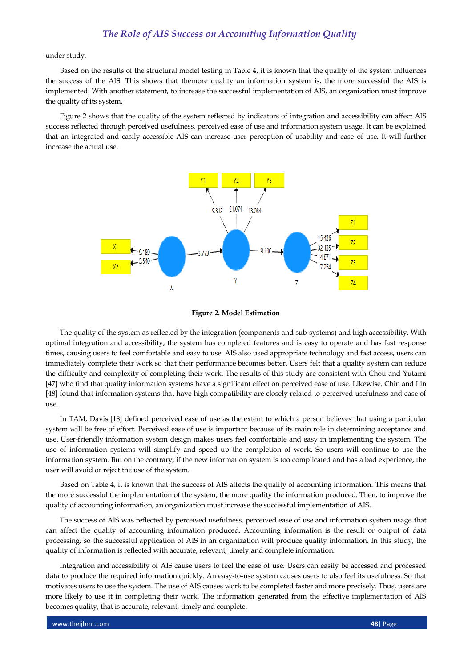under study.

Based on the results of the structural model testing in Table 4, it is known that the quality of the system influences the success of the AIS. This shows that themore quality an information system is, the more successful the AIS is implemented. With another statement, to increase the successful implementation of AIS, an organization must improve the quality of its system.

Figure 2 shows that the quality of the system reflected by indicators of integration and accessibility can affect AIS success reflected through perceived usefulness, perceived ease of use and information system usage. It can be explained that an integrated and easily accessible AIS can increase user perception of usability and ease of use. It will further increase the actual use.



#### **Figure 2. Model Estimation**

The quality of the system as reflected by the integration (components and sub-systems) and high accessibility. With optimal integration and accessibility, the system has completed features and is easy to operate and has fast response times, causing users to feel comfortable and easy to use. AIS also used appropriate technology and fast access, users can immediately complete their work so that their performance becomes better. Users felt that a quality system can reduce the difficulty and complexity of completing their work. The results of this study are consistent with Chou and Yutami [47] who find that quality information systems have a significant effect on perceived ease of use. Likewise, Chin and Lin [48] found that information systems that have high compatibility are closely related to perceived usefulness and ease of use.

In TAM, Davis [18] defined perceived ease of use as the extent to which a person believes that using a particular system will be free of effort. Perceived ease of use is important because of its main role in determining acceptance and use. User-friendly information system design makes users feel comfortable and easy in implementing the system. The use of information systems will simplify and speed up the completion of work. So users will continue to use the information system. But on the contrary, if the new information system is too complicated and has a bad experience, the user will avoid or reject the use of the system.

Based on Table 4, it is known that the success of AIS affects the quality of accounting information. This means that the more successful the implementation of the system, the more quality the information produced. Then, to improve the quality of accounting information, an organization must increase the successful implementation of AIS.

The success of AIS was reflected by perceived usefulness, perceived ease of use and information system usage that can affect the quality of accounting information produced. Accounting information is the result or output of data processing, so the successful application of AIS in an organization will produce quality information. In this study, the quality of information is reflected with accurate, relevant, timely and complete information.

Integration and accessibility of AIS cause users to feel the ease of use. Users can easily be accessed and processed data to produce the required information quickly. An easy-to-use system causes users to also feel its usefulness. So that motivates users to use the system. The use of AIS causes work to be completed faster and more precisely. Thus, users are more likely to use it in completing their work. The information generated from the effective implementation of AIS becomes quality, that is accurate, relevant, timely and complete.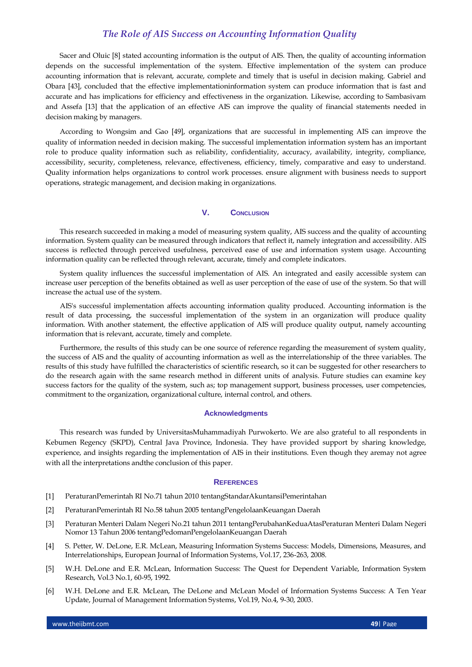Sacer and Oluic [8] stated accounting information is the output of AIS. Then, the quality of accounting information depends on the successful implementation of the system. Effective implementation of the system can produce accounting information that is relevant, accurate, complete and timely that is useful in decision making. Gabriel and Obara [43], concluded that the effective implementationinformation system can produce information that is fast and accurate and has implications for efficiency and effectiveness in the organization. Likewise, according to Sambasivam and Assefa [13] that the application of an effective AIS can improve the quality of financial statements needed in decision making by managers.

According to Wongsim and Gao [49], organizations that are successful in implementing AIS can improve the quality of information needed in decision making. The successful implementation information system has an important role to produce quality information such as reliability, confidentiality, accuracy, availability, integrity, compliance, accessibility, security, completeness, relevance, effectiveness, efficiency, timely, comparative and easy to understand. Quality information helps organizations to control work processes. ensure alignment with business needs to support operations, strategic management, and decision making in organizations.

#### **V. CONCLUSION**

This research succeeded in making a model of measuring system quality, AIS success and the quality of accounting information. System quality can be measured through indicators that reflect it, namely integration and accessibility. AIS success is reflected through perceived usefulness, perceived ease of use and information system usage. Accounting information quality can be reflected through relevant, accurate, timely and complete indicators.

System quality influences the successful implementation of AIS. An integrated and easily accessible system can increase user perception of the benefits obtained as well as user perception of the ease of use of the system. So that will increase the actual use of the system.

AIS's successful implementation affects accounting information quality produced. Accounting information is the result of data processing, the successful implementation of the system in an organization will produce quality information. With another statement, the effective application of AIS will produce quality output, namely accounting information that is relevant, accurate, timely and complete.

Furthermore, the results of this study can be one source of reference regarding the measurement of system quality, the success of AIS and the quality of accounting information as well as the interrelationship of the three variables. The results of this study have fulfilled the characteristics of scientific research, so it can be suggested for other researchers to do the research again with the same research method in different units of analysis. Future studies can examine key success factors for the quality of the system, such as; top management support, business processes, user competencies, commitment to the organization, organizational culture, internal control, and others.

#### **Acknowledgments**

This research was funded by UniversitasMuhammadiyah Purwokerto. We are also grateful to all respondents in Kebumen Regency (SKPD), Central Java Province, Indonesia. They have provided support by sharing knowledge, experience, and insights regarding the implementation of AIS in their institutions. Even though they aremay not agree with all the interpretations andthe conclusion of this paper.

#### **REFERENCES**

- [1] PeraturanPemerintah RI No.71 tahun 2010 tentangStandarAkuntansiPemerintahan
- [2] PeraturanPemerintah RI No.58 tahun 2005 tentangPengelolaanKeuangan Daerah
- [3] Peraturan Menteri Dalam Negeri No.21 tahun 2011 tentangPerubahanKeduaAtasPeraturan Menteri Dalam Negeri Nomor 13 Tahun 2006 tentangPedomanPengelolaanKeuangan Daerah
- [4] S. Petter, W. DeLone, E.R. McLean, Measuring Information Systems Success: Models, Dimensions, Measures, and Interrelationships, European Journal of Information Systems, Vol.17, 236-263, 2008.
- [5] W.H. DeLone and E.R. McLean, Information Success: The Quest for Dependent Variable, Information System Research, Vol.3 No.1, 60-95, 1992.
- [6] W.H. DeLone and E.R. McLean, The DeLone and McLean Model of Information Systems Success: A Ten Year Update, Journal of Management Information Systems, Vol.19, No.4, 9-30, 2003.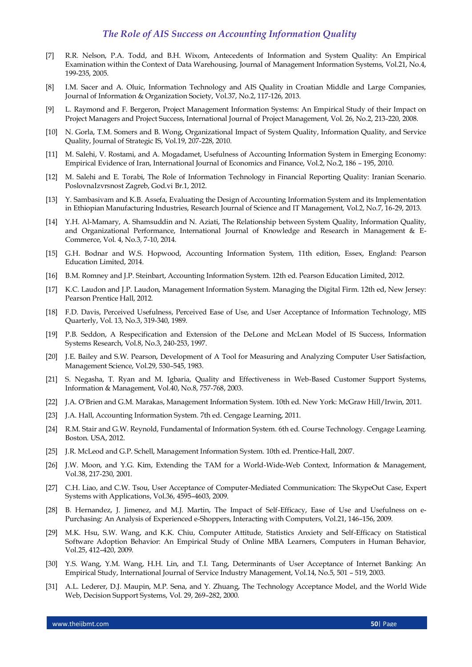- [7] R.R. Nelson, P.A. Todd, and B.H. Wixom, Antecedents of Information and System Quality: An Empirical Examination within the Context of Data Warehousing, Journal of Management Information Systems, Vol.21, No.4, 199-235, 2005.
- [8] I.M. Sacer and A. Oluic, Information Technology and AIS Quality in Croatian Middle and Large Companies, Journal of Information & Organization Society, Vol.37, No.2, 117-126, 2013.
- [9] L. Raymond and F. Bergeron, Project Management Information Systems: An Empirical Study of their Impact on Project Managers and Project Success, International Journal of Project Management, Vol. 26, No.2, 213-220, 2008.
- [10] N. Gorla, T.M. Somers and B. Wong, Organizational Impact of System Quality, Information Quality, and Service Quality, Journal of Strategic IS, Vol.19, 207-228, 2010.
- [11] M. Salehi, V. Rostami, and A. Mogadamet, Usefulness of Accounting Information System in Emerging Economy: Empirical Evidence of Iran, International Journal of Economics and Finance, Vol.2, No.2, 186 – 195, 2010.
- [12] M. Salehi and E. Torabi, The Role of Information Technology in Financial Reporting Quality: Iranian Scenario. PoslovnaIzvrsnost Zagreb, God.vi Br.1, 2012.
- [13] Y. Sambasivam and K.B. Assefa, Evaluating the Design of Accounting Information System and its Implementation in Ethiopian Manufacturing Industries, Research Journal of Science and IT Management, Vol.2, No.7, 16-29, 2013.
- [14] Y.H. Al-Mamary, A. Shamsuddin and N. Aziati, The Relationship between System Quality, Information Quality, and Organizational Performance, International Journal of Knowledge and Research in Management & E-Commerce, Vol. 4, No.3, 7-10, 2014.
- [15] G.H. Bodnar and W.S. Hopwood, Accounting Information System, 11th edition, Essex, England: Pearson Education Limited, 2014.
- [16] B.M. Romney and J.P. Steinbart, Accounting Information System. 12th ed. Pearson Education Limited, 2012.
- [17] K.C. Laudon and J.P. Laudon, Management Information System. Managing the Digital Firm. 12th ed, New Jersey: Pearson Prentice Hall, 2012.
- [18] F.D. Davis, Perceived Usefulness, Perceived Ease of Use, and User Acceptance of Information Technology, MIS Quarterly, Vol. 13, No.3, 319-340, 1989.
- [19] P.B. Seddon, A Respecification and Extension of the DeLone and McLean Model of IS Success, Information Systems Research, Vol.8, No.3, 240-253, 1997.
- [20] J.E. Bailey and S.W. Pearson, Development of A Tool for Measuring and Analyzing Computer User Satisfaction, Management Science, Vol.29, 530–545, 1983.
- [21] S. Negasha, T. Ryan and M. Igbaria, Quality and Effectiveness in Web-Based Customer Support Systems, Information & Management, Vol.40, No.8, 757-768, 2003.
- [22] J.A. O'Brien and G.M. Marakas, Management Information System. 10th ed. New York: McGraw Hill/Irwin, 2011.
- [23] J.A. Hall, Accounting Information System. 7th ed. Cengage Learning, 2011.
- [24] R.M. Stair and G.W. Reynold, Fundamental of Information System. 6th ed. Course Technology. Cengage Learning. Boston. USA, 2012.
- [25] J.R. McLeod and G.P. Schell, Management Information System. 10th ed. Prentice-Hall, 2007.
- [26] J.W. Moon, and Y.G. Kim, Extending the TAM for a World-Wide-Web Context, Information & Management, Vol.38, 217-230, 2001.
- [27] C.H. Liao, and C.W. Tsou, User Acceptance of Computer-Mediated Communication: The SkypeOut Case, Expert Systems with Applications, Vol.36, 4595–4603, 2009.
- [28] B. Hernandez, J. Jimenez, and M.J. Martin, The Impact of Self-Efficacy, Ease of Use and Usefulness on e-Purchasing: An Analysis of Experienced e-Shoppers, Interacting with Computers, Vol.21, 146–156, 2009.
- [29] M.K. Hsu, S.W. Wang, and K.K. Chiu, Computer Attitude, Statistics Anxiety and Self-Efficacy on Statistical Software Adoption Behavior: An Empirical Study of Online MBA Learners, Computers in Human Behavior, Vol.25, 412–420, 2009.
- [30] Y.S. Wang, Y.M. Wang, H.H. Lin, and T.I. Tang, Determinants of User Acceptance of Internet Banking: An Empirical Study, International Journal of Service Industry Management, Vol.14, No.5, 501 – 519, 2003.
- [31] A.L. Lederer, D.J. Maupin, M.P. Sena, and Y. Zhuang, The Technology Acceptance Model, and the World Wide Web, Decision Support Systems, Vol. 29, 269–282, 2000.